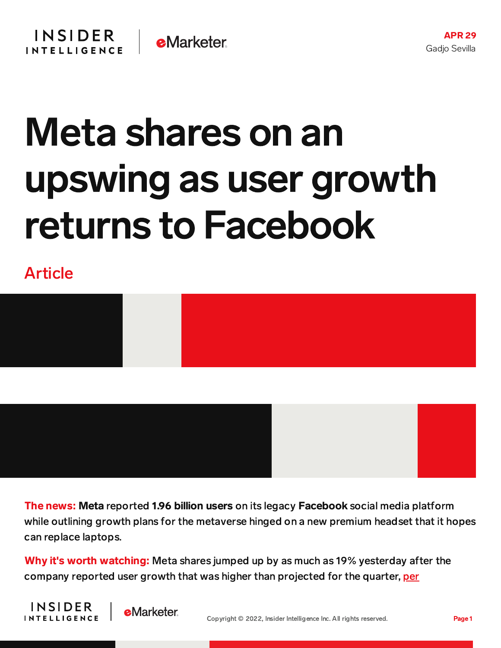

## Meta shares on an upswing as user growth returns to Facebook

Article



The news: Meta reported 1.96 billion users on its legacy Facebook social media platform while outlining growth plans for the metaverse hinged on a new premium headset that it hopes can replace laptops.

Why it's worth watching: Meta shares jumped up by as much as 19% yesterday after the company reported user growth that was higher than projected for the quarter, [per](https://www.bloomberg.com/news/articles/2022-04-27/meta-platforms-facebook-returns-to-user-growth-shares-soar?srnd=premium)





APR 29

Gadjo Sevilla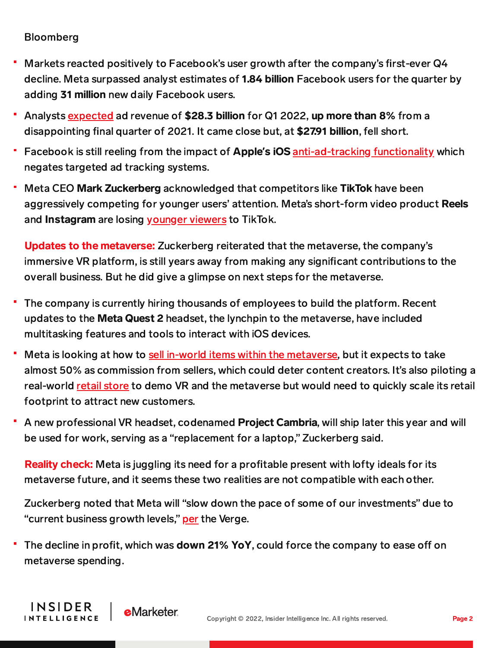## Bloomberg

**INSIDER** 

**INTELLIGENCE** 

**eMarketer** 

- Markets reacted positively to Facebook's user growth after the company's first-ever Q4 decline. Meta surpassed analyst estimates of 1.84 billion Facebook users for the quarter by adding 31 million new daily Facebook users.
- Analysts [expected](https://content-na2.emarketer.com/meta-s-ad-sales-growth-the-slowest-decade-may-hamper-its-metaverse-ambitions?utm_campaign=m&a+briefing+april+28&utm_medium=email&utm_source=triggermail&utm_term=marketing+&+advertising+briefing) ad revenue of \$28.3 billion for Q1 2022, up more than 8% from a disappointing final quarter of 2021. It came close but, at \$27.91 billion, fell short.
- Facebook is still reeling from the impact of Apple**'**s iOS [anti-ad-tracking](https://www.wired.com/story/ios-app-tracking-transparency-advertising/) functionality which negates targeted ad tracking systems.
- Meta CEO Mark Zuckerberg acknowledged that competitors like TikTok have been aggressively competing for younger users' attention. Meta's short-form video product Reels and Instagram are losing [younger](https://content-na2.emarketer.com/instagram-trying-fix-its-tiktok-repost-problem) viewers to TikTok.

Updates to the metaverse: Zuckerberg reiterated that the metaverse, the company's immersive VR platform, is still years away from making any significant contributions to the overall business. But he did give a glimpse on next steps for the metaverse.

- The company is currently hiring thousands of employees to build the platform. Recent updates to the Meta Quest 2 headset, the lynchpin to the metaverse, have included multitasking features and tools to interact with iOS devices.
- Meta is looking at how to sell in-world items within the [metaverse,](https://content-na2.emarketer.com/meta-looks-open-doors-on-metaverse-marketplace) but it expects to take almost 50% as commission from sellers, which could deter content creators. It's also piloting a real-world retail [store](https://content-na2.emarketer.com/meta-turns-physical-store-showcase-its-metaverse-ambitions) to demo VR and the metaverse but would need to quickly scale its retail footprint to attract new customers.
- A new professional VR headset, codenamed Project Cambria, will ship later this year and will be used for work, serving as a "replacement for a laptop," Zuckerberg said.

Reality check: Meta is juggling its need for a profitable present with lofty ideals for its metaverse future, and it seems these two realities are not compatible with each other.

Zuckerberg noted that Meta will "slow down the pace of some of our investments" due to "current business growth levels," [per](https://www.theverge.com/2022/4/27/23045274/zuckerberg-says-meta-will-slow-spending-first-quarter-earnings) the Verge.

The decline in profit, which was **down 21% YoY**, could force the company to ease off on ۳ metaverse spending.